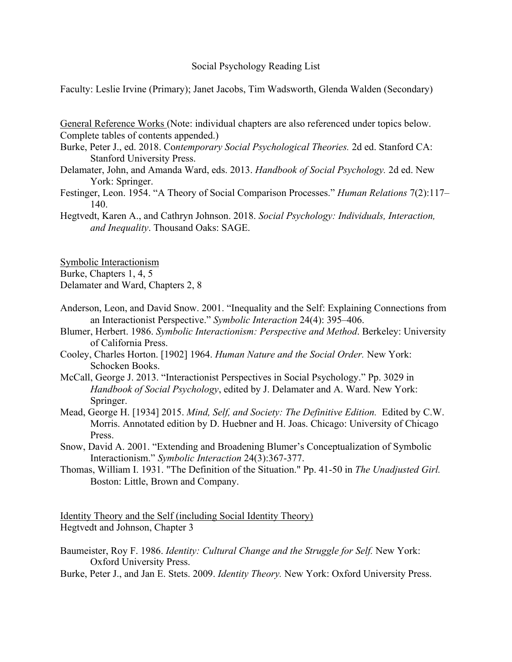## Social Psychology Reading List

Faculty: Leslie Irvine (Primary); Janet Jacobs, Tim Wadsworth, Glenda Walden (Secondary)

General Reference Works (Note: individual chapters are also referenced under topics below. Complete tables of contents appended.)

- Burke, Peter J., ed. 2018. Co*ntemporary Social Psychological Theories.* 2d ed. Stanford CA: Stanford University Press.
- Delamater, John, and Amanda Ward, eds. 2013. *Handbook of Social Psychology.* 2d ed. New York: Springer.
- Festinger, Leon. 1954. "A Theory of Social Comparison Processes." *Human Relations* 7(2):117– 140.
- Hegtvedt, Karen A., and Cathryn Johnson. 2018. *Social Psychology: Individuals, Interaction, and Inequality*. Thousand Oaks: SAGE.

Symbolic Interactionism

Burke, Chapters 1, 4, 5

Delamater and Ward, Chapters 2, 8

- Anderson, Leon, and David Snow. 2001. "Inequality and the Self: Explaining Connections from an Interactionist Perspective." *Symbolic Interaction* 24(4): 395–406.
- Blumer, Herbert. 1986. *Symbolic Interactionism: Perspective and Method*. Berkeley: University of California Press.
- Cooley, Charles Horton. [1902] 1964. *Human Nature and the Social Order.* New York: Schocken Books.
- McCall, George J. 2013. "Interactionist Perspectives in Social Psychology." Pp. 3029 in *Handbook of Social Psychology*, edited by J. Delamater and A. Ward. New York: Springer.
- Mead, George H. [1934] 2015. *Mind, Self, and Society: The Definitive Edition.* Edited by C.W. Morris. Annotated edition by D. Huebner and H. Joas. Chicago: University of Chicago Press.
- Snow, David A. 2001. "Extending and Broadening Blumer's Conceptualization of Symbolic Interactionism." *Symbolic Interaction* 24(3):367-377.
- Thomas, William I. 1931. "The Definition of the Situation." Pp. 41-50 in *The Unadjusted Girl.*  Boston: Little, Brown and Company.

Identity Theory and the Self (including Social Identity Theory) Hegtvedt and Johnson, Chapter 3

Burke, Peter J., and Jan E. Stets. 2009. *Identity Theory.* New York: Oxford University Press.

Baumeister, Roy F. 1986. *Identity: Cultural Change and the Struggle for Self.* New York: Oxford University Press.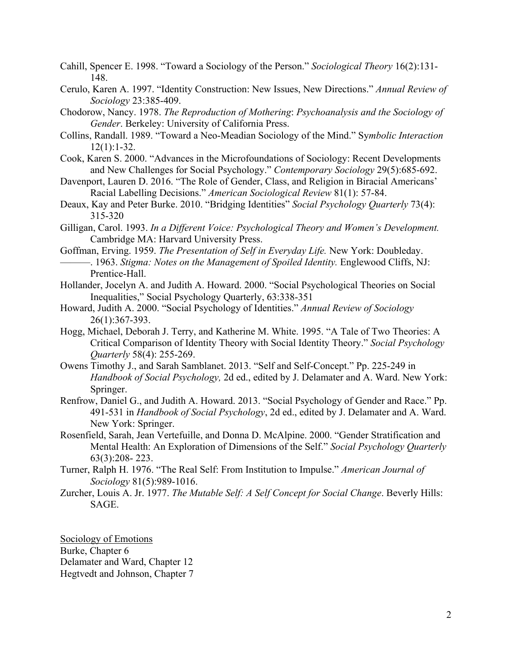- Cahill, Spencer E. 1998. "Toward a Sociology of the Person." *Sociological Theory* 16(2):131- 148.
- Cerulo, Karen A. 1997. "Identity Construction: New Issues, New Directions." *Annual Review of Sociology* 23:385-409.
- Chodorow, Nancy. 1978. *The Reproduction of Mothering*: *Psychoanalysis and the Sociology of Gender*. Berkeley: University of California Press.
- Collins, Randall. 1989. "Toward a Neo-Meadian Sociology of the Mind." Sy*mbolic Interaction* 12(1):1-32.
- Cook, Karen S. 2000. "Advances in the Microfoundations of Sociology: Recent Developments and New Challenges for Social Psychology." *Contemporary Sociology* 29(5):685-692.
- Davenport, Lauren D. 2016. "The Role of Gender, Class, and Religion in Biracial Americans' Racial Labelling Decisions." *American Sociological Review* 81(1): 57-84.
- Deaux, Kay and Peter Burke. 2010. "Bridging Identities" *Social Psychology Quarterly* 73(4): 315-320
- Gilligan, Carol. 1993. *In a Different Voice: Psychological Theory and Women's Development.* Cambridge MA: Harvard University Press.
- Goffman, Erving. 1959. *The Presentation of Self in Everyday Life.* New York: Doubleday.
- ———. 1963. *Stigma: Notes on the Management of Spoiled Identity.* Englewood Cliffs, NJ: Prentice-Hall.
- Hollander, Jocelyn A. and Judith A. Howard. 2000. "Social Psychological Theories on Social Inequalities," Social Psychology Quarterly, 63:338-351
- Howard, Judith A. 2000. "Social Psychology of Identities." *Annual Review of Sociology* 26(1):367-393.
- Hogg, Michael, Deborah J. Terry, and Katherine M. White. 1995. "A Tale of Two Theories: A Critical Comparison of Identity Theory with Social Identity Theory." *Social Psychology Quarterly* 58(4): 255-269.
- Owens Timothy J., and Sarah Samblanet. 2013. "Self and Self-Concept." Pp. 225-249 in *Handbook of Social Psychology,* 2d ed., edited by J. Delamater and A. Ward. New York: Springer.
- Renfrow, Daniel G., and Judith A. Howard. 2013. "Social Psychology of Gender and Race." Pp. 491-531 in *Handbook of Social Psychology*, 2d ed., edited by J. Delamater and A. Ward. New York: Springer.
- Rosenfield, Sarah, Jean Vertefuille, and Donna D. McAlpine. 2000. "Gender Stratification and Mental Health: An Exploration of Dimensions of the Self." *Social Psychology Quarterly* 63(3):208- 223.
- Turner, Ralph H. 1976. "The Real Self: From Institution to Impulse." *American Journal of Sociology* 81(5):989-1016.
- Zurcher, Louis A. Jr. 1977. *The Mutable Self: A Self Concept for Social Change*. Beverly Hills: SAGE.

Sociology of Emotions Burke, Chapter 6 Delamater and Ward, Chapter 12 Hegtvedt and Johnson, Chapter 7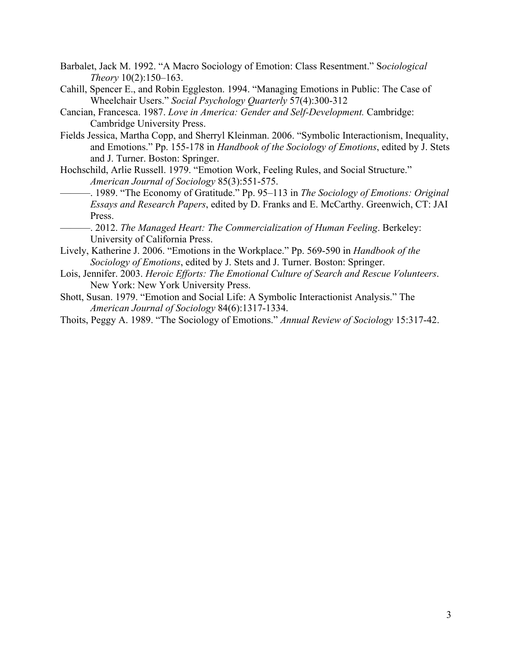- Barbalet, Jack M. 1992. "A Macro Sociology of Emotion: Class Resentment." S*ociological Theory* 10(2):150–163.
- Cahill, Spencer E., and Robin Eggleston. 1994. "Managing Emotions in Public: The Case of Wheelchair Users." *Social Psychology Quarterly* 57(4):300-312
- Cancian, Francesca. 1987. *Love in America: Gender and Self-Development.* Cambridge: Cambridge University Press.
- Fields Jessica, Martha Copp, and Sherryl Kleinman. 2006. "Symbolic Interactionism, Inequality, and Emotions." Pp. 155-178 in *Handbook of the Sociology of Emotions*, edited by J. Stets and J. Turner. Boston: Springer.
- Hochschild, Arlie Russell. 1979. "Emotion Work, Feeling Rules, and Social Structure." *American Journal of Sociology* 85(3):551-575.
	- ———. 1989. "The Economy of Gratitude." Pp. 95–113 in *The Sociology of Emotions: Original Essays and Research Papers*, edited by D. Franks and E. McCarthy. Greenwich, CT: JAI Press.
	- ———. 2012. *The Managed Heart: The Commercialization of Human Feeling*. Berkeley: University of California Press.
- Lively, Katherine J. 2006. "Emotions in the Workplace." Pp. 569-590 in *Handbook of the Sociology of Emotions*, edited by J. Stets and J. Turner. Boston: Springer.
- Lois, Jennifer. 2003. *Heroic Efforts: The Emotional Culture of Search and Rescue Volunteers*. New York: New York University Press.
- Shott, Susan. 1979. "Emotion and Social Life: A Symbolic Interactionist Analysis." The *American Journal of Sociology* 84(6):1317-1334.
- Thoits, Peggy A. 1989. "The Sociology of Emotions." *Annual Review of Sociology* 15:317-42.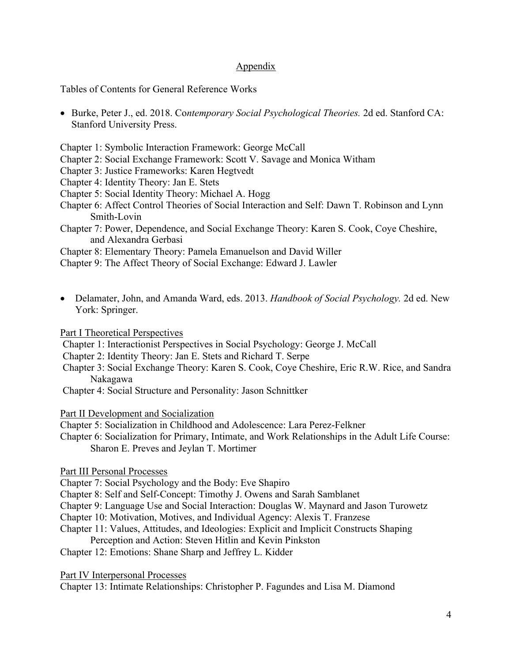## Appendix

Tables of Contents for General Reference Works

- Burke, Peter J., ed. 2018. Co*ntemporary Social Psychological Theories.* 2d ed. Stanford CA: Stanford University Press.
- Chapter 1: Symbolic Interaction Framework: George McCall
- Chapter 2: Social Exchange Framework: Scott V. Savage and Monica Witham
- Chapter 3: Justice Frameworks: Karen Hegtvedt
- Chapter 4: Identity Theory: Jan E. Stets
- Chapter 5: Social Identity Theory: Michael A. Hogg
- Chapter 6: Affect Control Theories of Social Interaction and Self: Dawn T. Robinson and Lynn Smith-Lovin
- Chapter 7: Power, Dependence, and Social Exchange Theory: Karen S. Cook, Coye Cheshire, and Alexandra Gerbasi

Chapter 8: Elementary Theory: Pamela Emanuelson and David Willer

Chapter 9: The Affect Theory of Social Exchange: Edward J. Lawler

• Delamater, John, and Amanda Ward, eds. 2013. *Handbook of Social Psychology.* 2d ed. New York: Springer.

Part I Theoretical Perspectives

- Chapter 1: Interactionist Perspectives in Social Psychology: George J. McCall
- Chapter 2: Identity Theory: Jan E. Stets and Richard T. Serpe
- Chapter 3: Social Exchange Theory: Karen S. Cook, Coye Cheshire, Eric R.W. Rice, and Sandra Nakagawa
- Chapter 4: Social Structure and Personality: Jason Schnittker

Part II Development and Socialization

- Chapter 5: Socialization in Childhood and Adolescence: Lara Perez-Felkner
- Chapter 6: Socialization for Primary, Intimate, and Work Relationships in the Adult Life Course: Sharon E. Preves and Jeylan T. Mortimer

## Part III Personal Processes

Chapter 7: Social Psychology and the Body: Eve Shapiro

- Chapter 8: Self and Self-Concept: Timothy J. Owens and Sarah Samblanet
- Chapter 9: Language Use and Social Interaction: Douglas W. Maynard and Jason Turowetz
- Chapter 10: Motivation, Motives, and Individual Agency: Alexis T. Franzese
- Chapter 11: Values, Attitudes, and Ideologies: Explicit and Implicit Constructs Shaping Perception and Action: Steven Hitlin and Kevin Pinkston
- Chapter 12: Emotions: Shane Sharp and Jeffrey L. Kidder

Part IV Interpersonal Processes

Chapter 13: Intimate Relationships: Christopher P. Fagundes and Lisa M. Diamond